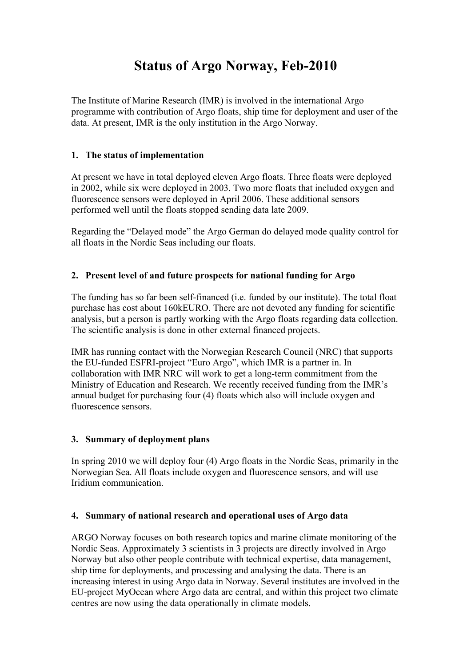# **Status of Argo Norway, Feb-2010**

The Institute of Marine Research (IMR) is involved in the international Argo programme with contribution of Argo floats, ship time for deployment and user of the data. At present, IMR is the only institution in the Argo Norway.

### **1. The status of implementation**

At present we have in total deployed eleven Argo floats. Three floats were deployed in 2002, while six were deployed in 2003. Two more floats that included oxygen and fluorescence sensors were deployed in April 2006. These additional sensors performed well until the floats stopped sending data late 2009.

Regarding the "Delayed mode" the Argo German do delayed mode quality control for all floats in the Nordic Seas including our floats.

## **2. Present level of and future prospects for national funding for Argo**

The funding has so far been self-financed (i.e. funded by our institute). The total float purchase has cost about 160kEURO. There are not devoted any funding for scientific analysis, but a person is partly working with the Argo floats regarding data collection. The scientific analysis is done in other external financed projects.

IMR has running contact with the Norwegian Research Council (NRC) that supports the EU-funded ESFRI-project "Euro Argo", which IMR is a partner in. In collaboration with IMR NRC will work to get a long-term commitment from the Ministry of Education and Research. We recently received funding from the IMR's annual budget for purchasing four (4) floats which also will include oxygen and fluorescence sensors.

#### **3. Summary of deployment plans**

In spring 2010 we will deploy four (4) Argo floats in the Nordic Seas, primarily in the Norwegian Sea. All floats include oxygen and fluorescence sensors, and will use Iridium communication.

#### **4. Summary of national research and operational uses of Argo data**

ARGO Norway focuses on both research topics and marine climate monitoring of the Nordic Seas. Approximately 3 scientists in 3 projects are directly involved in Argo Norway but also other people contribute with technical expertise, data management, ship time for deployments, and processing and analysing the data. There is an increasing interest in using Argo data in Norway. Several institutes are involved in the EU-project MyOcean where Argo data are central, and within this project two climate centres are now using the data operationally in climate models.